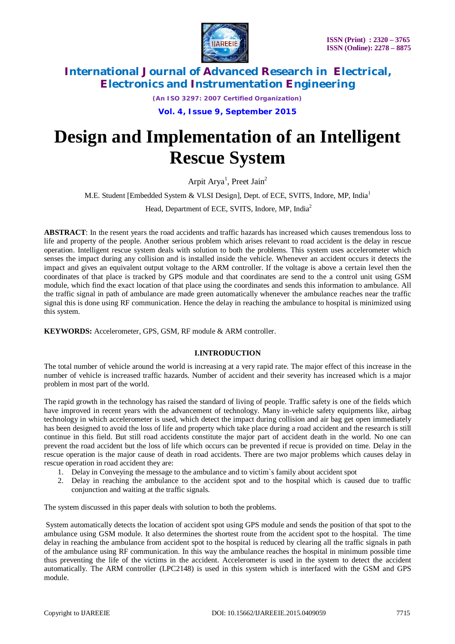

*(An ISO 3297: 2007 Certified Organization)*

**Vol. 4, Issue 9, September 2015**

# **Design and Implementation of an Intelligent Rescue System**

Arpit Arya<sup>1</sup>, Preet Jain<sup>2</sup>

M.E. Student [Embedded System & VLSI Design], Dept. of ECE, SVITS, Indore, MP, India<sup>1</sup>

Head, Department of ECE, SVITS, Indore, MP, India<sup>2</sup>

**ABSTRACT**: In the resent years the road accidents and traffic hazards has increased which causes tremendous loss to life and property of the people. Another serious problem which arises relevant to road accident is the delay in rescue operation. Intelligent rescue system deals with solution to both the problems. This system uses accelerometer which senses the impact during any collision and is installed inside the vehicle. Whenever an accident occurs it detects the impact and gives an equivalent output voltage to the ARM controller. If the voltage is above a certain level then the coordinates of that place is tracked by GPS module and that coordinates are send to the a control unit using GSM module, which find the exact location of that place using the coordinates and sends this information to ambulance. All the traffic signal in path of ambulance are made green automatically whenever the ambulance reaches near the traffic signal this is done using RF communication. Hence the delay in reaching the ambulance to hospital is minimized using this system.

**KEYWORDS:** Accelerometer, GPS, GSM, RF module & ARM controller.

### **I.INTRODUCTION**

The total number of vehicle around the world is increasing at a very rapid rate. The major effect of this increase in the number of vehicle is increased traffic hazards. Number of accident and their severity has increased which is a major problem in most part of the world.

The rapid growth in the technology has raised the standard of living of people. Traffic safety is one of the fields which have improved in recent years with the advancement of technology. Many in-vehicle safety equipments like, airbag technology in which accelerometer is used, which detect the impact during collision and air bag get open immediately has been designed to avoid the loss of life and property which take place during a road accident and the research is still continue in this field. But still road accidents constitute the major part of accident death in the world. No one can prevent the road accident but the loss of life which occurs can be prevented if recue is provided on time. Delay in the rescue operation is the major cause of death in road accidents. There are two major problems which causes delay in rescue operation in road accident they are:

- 1. Delay in Conveying the message to the ambulance and to victim`s family about accident spot
- 2. Delay in reaching the ambulance to the accident spot and to the hospital which is caused due to traffic conjunction and waiting at the traffic signals.

The system discussed in this paper deals with solution to both the problems.

System automatically detects the location of accident spot using GPS module and sends the position of that spot to the ambulance using GSM module. It also determines the shortest route from the accident spot to the hospital. The time delay in reaching the ambulance from accident spot to the hospital is reduced by clearing all the traffic signals in path of the ambulance using RF communication. In this way the ambulance reaches the hospital in minimum possible time thus preventing the life of the victims in the accident. Accelerometer is used in the system to detect the accident automatically. The ARM controller (LPC2148) is used in this system which is interfaced with the GSM and GPS module.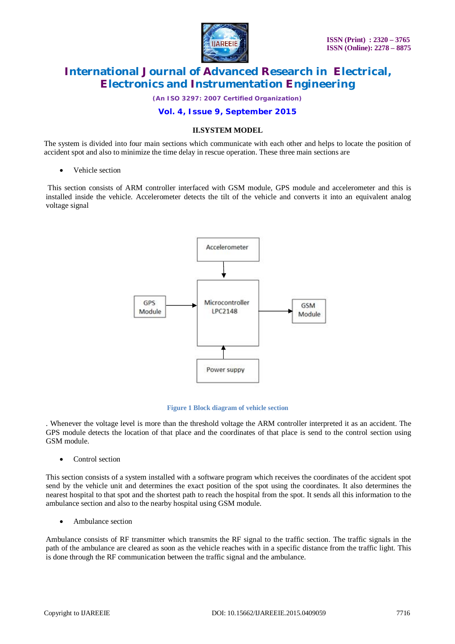

*(An ISO 3297: 2007 Certified Organization)*

#### **Vol. 4, Issue 9, September 2015**

#### **II.SYSTEM MODEL**

The system is divided into four main sections which communicate with each other and helps to locate the position of accident spot and also to minimize the time delay in rescue operation. These three main sections are

Vehicle section

This section consists of ARM controller interfaced with GSM module, GPS module and accelerometer and this is installed inside the vehicle. Accelerometer detects the tilt of the vehicle and converts it into an equivalent analog voltage signal



#### **Figure 1 Block diagram of vehicle section**

. Whenever the voltage level is more than the threshold voltage the ARM controller interpreted it as an accident. The GPS module detects the location of that place and the coordinates of that place is send to the control section using GSM module.

Control section

This section consists of a system installed with a software program which receives the coordinates of the accident spot send by the vehicle unit and determines the exact position of the spot using the coordinates. It also determines the nearest hospital to that spot and the shortest path to reach the hospital from the spot. It sends all this information to the ambulance section and also to the nearby hospital using GSM module.

Ambulance section

Ambulance consists of RF transmitter which transmits the RF signal to the traffic section. The traffic signals in the path of the ambulance are cleared as soon as the vehicle reaches with in a specific distance from the traffic light. This is done through the RF communication between the traffic signal and the ambulance.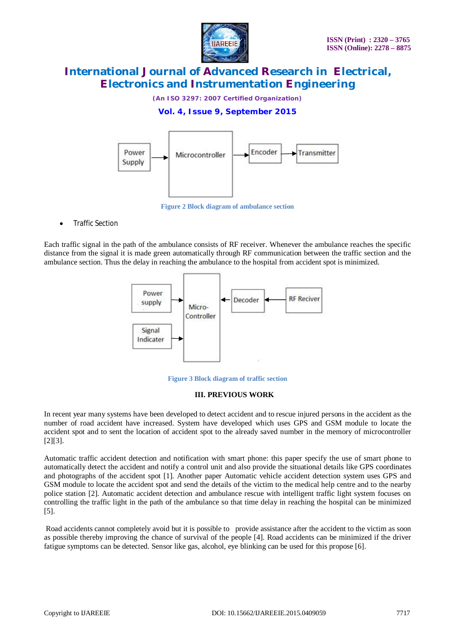

*(An ISO 3297: 2007 Certified Organization)*

### **Vol. 4, Issue 9, September 2015**



**Figure 2 Block diagram of ambulance section**

Traffic Section

Each traffic signal in the path of the ambulance consists of RF receiver. Whenever the ambulance reaches the specific distance from the signal it is made green automatically through RF communication between the traffic section and the ambulance section. Thus the delay in reaching the ambulance to the hospital from accident spot is minimized.



**Figure 3 Block diagram of traffic section**

#### **III. PREVIOUS WORK**

In recent year many systems have been developed to detect accident and to rescue injured persons in the accident as the number of road accident have increased. System have developed which uses GPS and GSM module to locate the accident spot and to sent the location of accident spot to the already saved number in the memory of microcontroller [2][3].

Automatic traffic accident detection and notification with smart phone: this paper specify the use of smart phone to automatically detect the accident and notify a control unit and also provide the situational details like GPS coordinates and photographs of the accident spot [1]. Another paper Automatic vehicle accident detection system uses GPS and GSM module to locate the accident spot and send the details of the victim to the medical help centre and to the nearby police station [2]. Automatic accident detection and ambulance rescue with intelligent traffic light system focuses on controlling the traffic light in the path of the ambulance so that time delay in reaching the hospital can be minimized [5].

Road accidents cannot completely avoid but it is possible to provide assistance after the accident to the victim as soon as possible thereby improving the chance of survival of the people [4]. Road accidents can be minimized if the driver fatigue symptoms can be detected. Sensor like gas, alcohol, eye blinking can be used for this propose [6].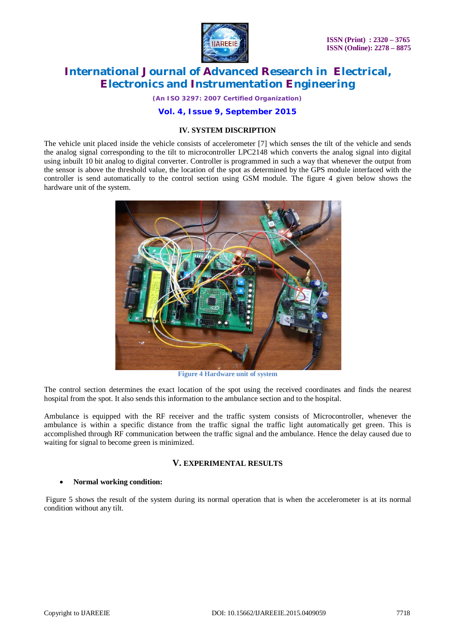

*(An ISO 3297: 2007 Certified Organization)*

### **Vol. 4, Issue 9, September 2015**

#### **IV. SYSTEM DISCRIPTION**

The vehicle unit placed inside the vehicle consists of accelerometer [7] which senses the tilt of the vehicle and sends the analog signal corresponding to the tilt to microcontroller LPC2148 which converts the analog signal into digital using inbuilt 10 bit analog to digital converter. Controller is programmed in such a way that whenever the output from the sensor is above the threshold value, the location of the spot as determined by the GPS module interfaced with the controller is send automatically to the control section using GSM module. The figure 4 given below shows the hardware unit of the system.



**Figure 4 Hardware unit of system**

The control section determines the exact location of the spot using the received coordinates and finds the nearest hospital from the spot. It also sends this information to the ambulance section and to the hospital.

Ambulance is equipped with the RF receiver and the traffic system consists of Microcontroller, whenever the ambulance is within a specific distance from the traffic signal the traffic light automatically get green. This is accomplished through RF communication between the traffic signal and the ambulance. Hence the delay caused due to waiting for signal to become green is minimized.

#### **V. EXPERIMENTAL RESULTS**

### **Normal working condition:**

Figure 5 shows the result of the system during its normal operation that is when the accelerometer is at its normal condition without any tilt.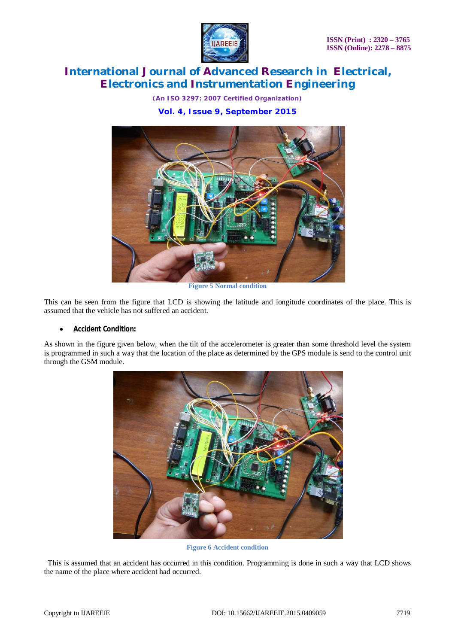

*(An ISO 3297: 2007 Certified Organization)* **Vol. 4, Issue 9, September 2015**



**Figure 5 Normal condition**

This can be seen from the figure that LCD is showing the latitude and longitude coordinates of the place. This is assumed that the vehicle has not suffered an accident.

#### **Accident Condition:**

As shown in the figure given below, when the tilt of the accelerometer is greater than some threshold level the system is programmed in such a way that the location of the place as determined by the GPS module is send to the control unit through the GSM module.



**Figure 6 Accident condition**

 This is assumed that an accident has occurred in this condition. Programming is done in such a way that LCD shows the name of the place where accident had occurred.